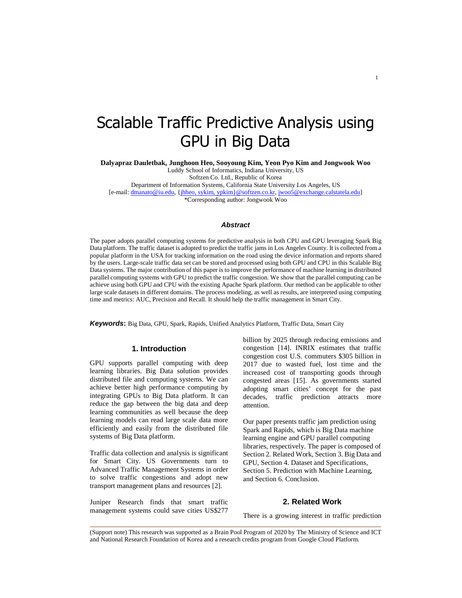# Scalable Traffic Predictive Analysis using GPU in Big Data

**Dalyapraz Dauletbak, Junghoon Heo, Sooyoung Kim, Yeon Pyo Kim and Jongwook Woo** 

Luddy School of Informatics, Indiana University, US

Softzen Co. Ltd., Republic of Korea

Department of Information Systems, California State University Los Angeles, US

[e-mail: dmanato@iu.edu, {jhheo, sykim, ypkim}@softzen.co.kr, jwoo5@exchange.calstatela.edu]

\*Corresponding author: Jongwook Woo

## **Abstract**

The paper adopts parallel computing systems for predictive analysis in both CPU and GPU leveraging Spark Big Data platform. The traffic dataset is adopted to predict the traffic jams in Los Angeles County. It is collected from a popular platform in the USA for tracking information on the road using the device information and reports shared by the users. Large-scale traffic data set can be stored and processed using both GPU and CPU in this Scalable Big Data systems. The major contribution of this paper is to improve the performance of machine learning in distributed parallel computing systems with GPU to predict the traffic congestion. We show that the parallel computing can be achieve using both GPU and CPU with the existing Apache Spark platform. Our method can be applicable to other large scale datasets in different domains. The process modeling, as well as results, are interpreted using computing time and metrics: AUC, Precision and Recall. It should help the traffic management in Smart City.

**Keywords:** Big Data, GPU, Spark, Rapids, Unified Analytics Platform, Traffic Data, Smart City

## **1. Introduction**

GPU supports parallel computing with deep learning libraries. Big Data solution provides distributed file and computing systems. We can achieve better high performance computing by integrating GPUs to Big Data platform. It can reduce the gap between the big data and deep learning communities as well because the deep learning models can read large scale data more efficiently and easily from the distributed file systems of Big Data platform.

Traffic data collection and analysis is significant for Smart City. US Governments turn to Advanced Traffic Management Systems in order to solve traffic congestions and adopt new transport management plans and resources [2].

Juniper Research finds that smart traffic management systems could save cities US\$277

billion by 2025 through reducing emissions and congestion [14]. INRIX estimates that traffic congestion cost U.S. commuters \$305 billion in 2017 due to wasted fuel, lost time and the increased cost of transporting goods through congested areas [15]. As governments started adopting smart cities' concept for the past decades, traffic prediction attracts more attention.

Our paper presents traffic jam prediction using Spark and Rapids, which is Big Data machine learning engine and GPU parallel computing libraries, respectively. The paper is composed of Section 2. Related Work, Section 3. Big Data and GPU, Section 4. Dataset and Specifications, Section 5. Prediction with Machine Learning, and Section 6. Conclusion.

# **2. Related Work**

There is a growing interest in traffic prediction

(Support note) This research was supported as a Brain Pool Program of 2020 by The Ministry of Science and ICT and National Research Foundation of Korea and a research credits program from Google Cloud Platform.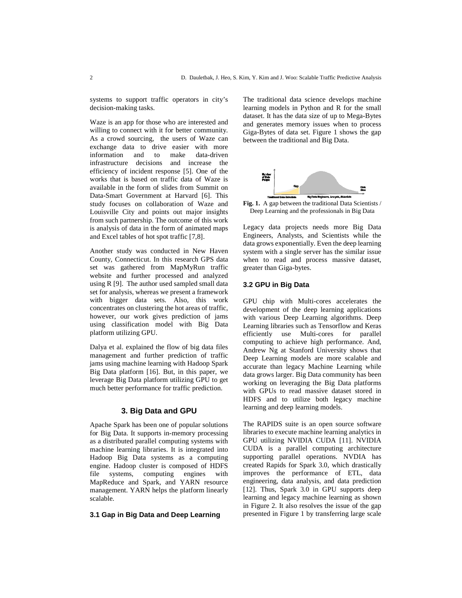systems to support traffic operators in city's decision-making tasks.

Waze is an app for those who are interested and willing to connect with it for better community. As a crowd sourcing, the users of Waze can exchange data to drive easier with more information and to make data-driven infrastructure decisions and increase the efficiency of incident response [5]. One of the works that is based on traffic data of Waze is available in the form of slides from Summit on Data-Smart Government at Harvard [6]. This study focuses on collaboration of Waze and Louisville City and points out major insights from such partnership. The outcome of this work is analysis of data in the form of animated maps and Excel tables of hot spot traffic [7,8].

Another study was conducted in New Haven County, Connecticut. In this research GPS data set was gathered from MapMyRun traffic website and further processed and analyzed using R [9]. The author used sampled small data set for analysis, whereas we present a framework with bigger data sets. Also, this work concentrates on clustering the hot areas of traffic, however, our work gives prediction of jams using classification model with Big Data platform utilizing GPU.

Dalya et al. explained the flow of big data files management and further prediction of traffic jams using machine learning with Hadoop Spark Big Data platform [16]. But, in this paper, we leverage Big Data platform utilizing GPU to get much better performance for traffic prediction.

# **3. Big Data and GPU**

Apache Spark has been one of popular solutions for Big Data. It supports in-memory processing as a distributed parallel computing systems with machine learning libraries. It is integrated into Hadoop Big Data systems as a computing engine. Hadoop cluster is composed of HDFS file systems, computing engines with MapReduce and Spark, and YARN resource management. YARN helps the platform linearly scalable.

### **3.1 Gap in Big Data and Deep Learning**

The traditional data science develops machine learning models in Python and R for the small dataset. It has the data size of up to Mega-Bytes and generates memory issues when to process Giga-Bytes of data set. Figure 1 shows the gap between the traditional and Big Data.



**Fig. 1.** A gap between the traditional Data Scientists / Deep Learning and the professionals in Big Data

Legacy data projects needs more Big Data Engineers, Analysts, and Scientists while the data grows exponentially. Even the deep learning system with a single server has the similar issue when to read and process massive dataset, greater than Giga-bytes.

## **3.2 GPU in Big Data**

GPU chip with Multi-cores accelerates the development of the deep learning applications with various Deep Learning algorithms. Deep Learning libraries such as Tensorflow and Keras efficiently use Multi-cores for parallel computing to achieve high performance. And, Andrew Ng at Stanford University shows that Deep Learning models are more scalable and accurate than legacy Machine Learning while data grows larger. Big Data community has been working on leveraging the Big Data platforms with GPUs to read massive dataset stored in HDFS and to utilize both legacy machine learning and deep learning models.

The RAPIDS suite is an open source software libraries to execute machine learning analytics in GPU utilizing NVIDIA CUDA [11]. NVIDIA CUDA is a parallel computing architecture supporting parallel operations. NVDIA has created Rapids for Spark 3.0, which drastically improves the performance of ETL, data engineering, data analysis, and data prediction [12]. Thus, Spark 3.0 in GPU supports deep learning and legacy machine learning as shown in Figure 2. It also resolves the issue of the gap presented in Figure 1 by transferring large scale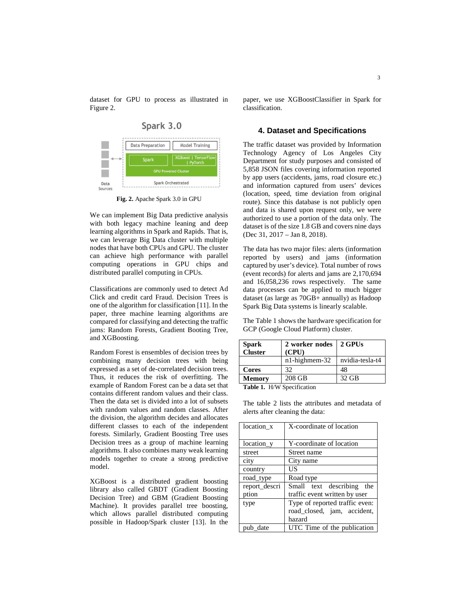dataset for GPU to process as illustrated in Figure 2.



**Fig. 2.** Apache Spark 3.0 in GPU

We can implement Big Data predictive analysis with both legacy machine leaning and deep learning algorithms in Spark and Rapids. That is, we can leverage Big Data cluster with multiple nodes that have both CPUs and GPU. The cluster can achieve high performance with parallel computing operations in GPU chips and distributed parallel computing in CPUs.

Classifications are commonly used to detect Ad Click and credit card Fraud. Decision Trees is one of the algorithm for classification [11]. In the paper, three machine learning algorithms are compared for classifying and detecting the traffic jams: Random Forests, Gradient Booting Tree, and XGBoosting.

Random Forest is ensembles of decision trees by combining many decision trees with being expressed as a set of de-correlated decision trees. Thus, it reduces the risk of overfitting. The example of Random Forest can be a data set that contains different random values and their class. Then the data set is divided into a lot of subsets with random values and random classes. After the division, the algorithm decides and allocates different classes to each of the independent forests. Similarly, Gradient Boosting Tree uses Decision trees as a group of machine learning algorithms. It also combines many weak learning models together to create a strong predictive model.

XGBoost is a distributed gradient boosting library also called GBDT (Gradient Boosting Decision Tree) and GBM (Gradient Boosting Machine). It provides parallel tree boosting, which allows parallel distributed computing possible in Hadoop/Spark cluster [13]. In the paper, we use XGBoostClassifier in Spark for classification.

#### **4. Dataset and Specifications**

The traffic dataset was provided by Information Technology Agency of Los Angeles City Department for study purposes and consisted of 5,858 JSON files covering information reported by app users (accidents, jams, road closure etc.) and information captured from users' devices (location, speed, time deviation from original route). Since this database is not publicly open and data is shared upon request only, we were authorized to use a portion of the data only. The dataset is of the size 1.8 GB and covers nine days (Dec 31, 2017 – Jan 8, 2018).

The data has two major files: alerts (information reported by users) and jams (information captured by user's device). Total number of rows (event records) for alerts and jams are 2,170,694 and 16,058,236 rows respectively. The same data processes can be applied to much bigger dataset (as large as 70GB+ annually) as Hadoop Spark Big Data systems is linearly scalable.

The Table 1 shows the hardware specification for GCP (Google Cloud Platform) cluster.

| <b>Spark</b><br><b>Cluster</b> | 2 worker nodes<br>(CPU) | 2 GPUs          |  |  |
|--------------------------------|-------------------------|-----------------|--|--|
|                                | $n1$ -highmem-32        | nvidia-tesla-t4 |  |  |
| Cores                          | 32                      | 48              |  |  |
| <b>Memory</b>                  | 208 GB                  | 32 GB           |  |  |
| H/W Specification<br>Toble 1   |                         |                 |  |  |

**Table 1.** H/W Specification

The table 2 lists the attributes and metadata of alerts after cleaning the data:

| location_x    | X-coordinate of location       |  |  |
|---------------|--------------------------------|--|--|
|               |                                |  |  |
| location_y    | Y-coordinate of location       |  |  |
| street        | Street name                    |  |  |
| city          | City name                      |  |  |
| country       | US                             |  |  |
| road type     | Road type                      |  |  |
| report descri | Small text describing the      |  |  |
| ption         | traffic event written by user  |  |  |
| type          | Type of reported traffic even: |  |  |
|               | road closed, jam, accident,    |  |  |
|               | hazard                         |  |  |
| pub date      | UTC Time of the publication    |  |  |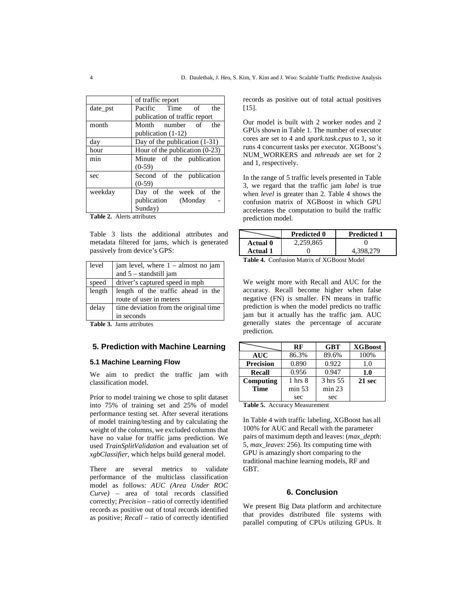|          | of traffic report                |  |  |
|----------|----------------------------------|--|--|
| date_pst | Pacific Time of the              |  |  |
|          | publication of traffic report    |  |  |
| month    | Month number of the              |  |  |
|          | publication (1-12)               |  |  |
| day      | Day of the publication $(1-31)$  |  |  |
| hour     | Hour of the publication $(0-23)$ |  |  |
| min      | Minute of the publication        |  |  |
|          | $(0-59)$                         |  |  |
| sec      | Second of the publication        |  |  |
|          | $(0-59)$                         |  |  |
| weekday  | Day of the week of the           |  |  |
|          | publication (Monday              |  |  |
|          | Sunday)                          |  |  |

**Table 2.** Alerts attributes

Table 3 lists the additional attributes and metadata filtered for jams, which is generated passively from device's GPS:

| level  | jam level, where $1 -$ almost no jam<br>and $5 -$ standstill jam |  |
|--------|------------------------------------------------------------------|--|
| speed  | driver's captured speed in mph                                   |  |
| length | length of the traffic ahead in the                               |  |
|        | route of user in meters                                          |  |
| delay  | time deviation from the original time                            |  |
|        | in seconds                                                       |  |

**Table 3.** Jams attributes

# **5. Prediction with Machine Learning**

#### **5.1 Machine Learning Flow**

We aim to predict the traffic jam with classification model.

Prior to model training we chose to split dataset into 75% of training set and 25% of model performance testing set. After several iterations of model training/testing and by calculating the weight of the columns, we excluded columns that have no value for traffic jams prediction. We used *TrainSplitValidation* and evaluation set of *xgbClassifier*, which helps build general model.

There are several metrics to validate performance of the multiclass classification model as follows: *AUC (Area Under ROC Curve)* – area of total records classified correctly; *Precision* – ratio of correctly identified records as positive out of total records identified as positive; *Recall* – ratio of correctly identified

records as positive out of total actual positives [15].

Our model is built with 2 worker nodes and 2 GPUs shown in Table 1. The number of executor cores are set to 4 and *spark.task.cpus* to 1, so it runs 4 concurrent tasks per executor. XGBoost's NUM\_WORKERS and *nthreads* are set for 2 and 1, respectively.

In the range of 5 traffic levels presented in Table 3, we regard that the traffic jam *label* is true when *level* is greater than 2. Table 4 shows the confusion matrix of XGBoost in which GPU accelerates the computation to build the traffic prediction model.

|                                                                                                                                                                                                                                | <b>Predicted 0</b><br><b>Predicted 1</b> |           |  |  |
|--------------------------------------------------------------------------------------------------------------------------------------------------------------------------------------------------------------------------------|------------------------------------------|-----------|--|--|
| Actual 0                                                                                                                                                                                                                       | 2,259,865                                |           |  |  |
| Actual 1                                                                                                                                                                                                                       |                                          | 4.398.279 |  |  |
| $\mathbf{T}$ . Li. $\mathbf{A}$ $\mathbf{C}$ . $\mathbf{C}$ . $\mathbf{C}$ . $\mathbf{M}$ . $\mathbf{M}$ . $\mathbf{C}$ . $\mathbf{C}$ $\mathbf{V}$ . $\mathbf{C}$ $\mathbf{D}$ . $\mathbf{M}$ . $\mathbf{M}$ . $\mathbf{M}$ . |                                          |           |  |  |

**Table 4.** Confusion Matrix of XGBoost Model

We weight more with Recall and AUC for the accuracy. Recall become higher when false negative (FN) is smaller. FN means in traffic prediction is when the model predicts no traffic jam but it actually has the traffic jam. AUC generally states the percentage of accurate prediction.

|                  | RF                 | <b>GBT</b> | <b>XGBoost</b> |
|------------------|--------------------|------------|----------------|
| <b>AUC</b>       | 86.3%              | 89.6%      | 100%           |
| <b>Precision</b> | 0.890              | 0.922      | 1.0            |
| Recall           | 0.956              | 0.947      | 1.0            |
| Computing        | $1 \text{ hrs } 8$ | 3 hrs 55   | 21 sec         |
| <b>Time</b>      | min 53             | min 23     |                |
|                  | sec                | sec        |                |

**Table 5.** Accuracy Measurement

In Table 4 with traffic labeling, XGBoost has all 100% for AUC and Recall with the parameter pairs of maximum depth and leaves: (*max\_depth*: 5, *max\_leaves*: 256). Its computing time with GPU is amazingly short comparing to the traditional machine learning models, RF and GBT.

#### **6. Conclusion**

We present Big Data platform and architecture that provides distributed file systems with parallel computing of CPUs utilizing GPUs. It